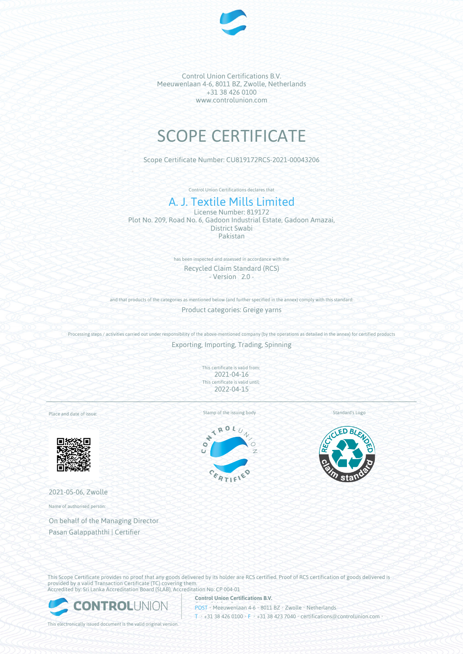

Control Union Certifications B.V. Meeuwenlaan 4-6, 8011 BZ, Zwolle, Netherlands +31 38 426 0100 www.controlunion.com

# SCOPE CERTIFICATE

Scope Certificate Number: CU819172RCS-2021-00043206

Control Union Certifications declares that

# A. J. Textile Mills Limited

License Number: 819172 Plot No. 209, Road No. 6, Gadoon Industrial Estate, Gadoon Amazai, District Swabi Pakistan

> has been inspected and assessed in accordance with the Recycled Claim Standard (RCS) - Version 2.0 -

and that products of the categories as mentioned below (and further specified in the annex) comply with this standard:

Product categories: Greige yarns

Processing steps / activities carried out under responsibility of the above-mentioned company (by the operations as detailed in the annex) for certified products Exporting, Importing, Trading, Spinning

> This certificate is valid from: 2021-04-16 This certificate is valid until: 2022-04-15

Place and date of issue:



2021-05-06, Zwolle

Name of authorised person:

On behalf of the Managing Director Pasan Galappaththi | Certifier

Stamp of the issuing body Standard's Logo





This Scope Certificate provides no proof that any goods delivered by its holder are RCS certified. Proof of RCS certification of goods delivered is provided by a valid Transaction Certificate (TC) covering them. Accredited by: Sri Lanka Accreditation Board (SLAB), Accreditation No: CP 004-01

**Control Union Certifications B.V.**



POST • Meeuwenlaan 4-6 • 8011 BZ • Zwolle • Netherlands T • +31 38 426 0100 • F • +31 38 423 7040 • certifications@controlunion.com •

This electronically issued document is the valid original version.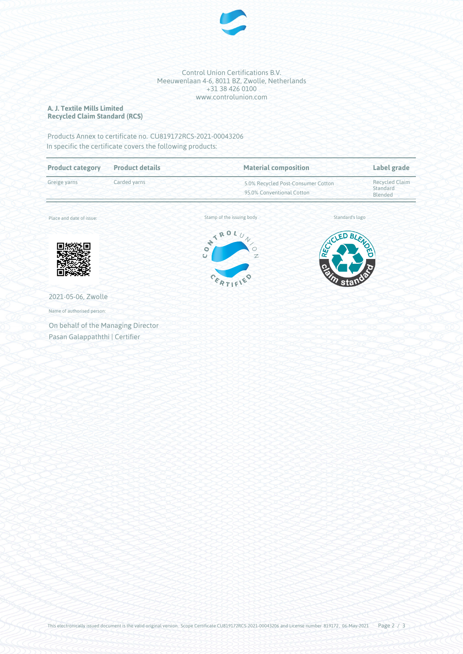

## Control Union Certifications B.V. Meeuwenlaan 4-6, 8011 BZ, Zwolle, Netherlands +31 38 426 0100 www.controlunion.com

# **A. J. Textile Mills Limited Recycled Claim Standard (RCS)**

Products Annex to certificate no. CU819172RCS-2021-00043206 In specific the certificate covers the following products:

| <b>Product category</b>                                  | <b>Product details</b> | <b>Material composition</b>                                                                 |                      | Label grade                                  |
|----------------------------------------------------------|------------------------|---------------------------------------------------------------------------------------------|----------------------|----------------------------------------------|
| Greige yarns<br>Carded yarns<br>Place and date of issue: |                        | 5.0% Recycled Post-Consumer Cotton<br>95.0% Conventional Cotton                             |                      | <b>Recycled Claim</b><br>Standard<br>Blended |
|                                                          |                        | Stamp of the issuing body                                                                   |                      | Standard's logo                              |
|                                                          |                        | NTRO.<br>$\iota_{U}$<br>$\sqrt{}$<br>$\circ$<br>$\bullet$<br>$\mathbb{Z}$<br>$\overline{U}$ | ACLED,<br><b>REC</b> | BLENOC                                       |
|                                                          |                        | CERTIF'                                                                                     | <b>Partin stau</b>   |                                              |
| 2021-05-06, Zwolle                                       |                        |                                                                                             |                      |                                              |
| Name of authorised person:                               |                        |                                                                                             |                      |                                              |
| On behalf of the Managing Director                       |                        |                                                                                             |                      |                                              |
| Pasan Galappaththi   Certifier                           |                        |                                                                                             |                      |                                              |

This electronically issued document is the valid original version. Scope Certificate CU819172RCS-2021-00043206 and License number 819172 , 06-May-2021 Page 2 / 3